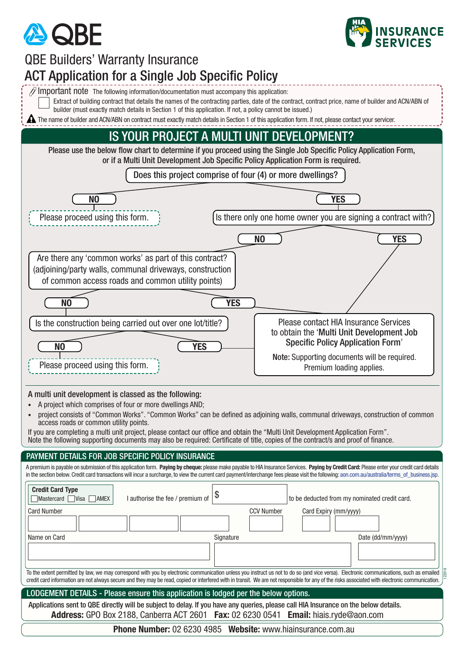



122018

## $\mathscr D$  Important note The following information/documentation must accompany this application: Extract of building contract that details the names of the contracting parties, date of the contract, contract price, name of builder and ACN/ABN of builder (must exactly match details in Section 1 of this application. If not, a policy cannot be issued.) **A** The name of builder and ACN/ABN on contract must exactly match details in Section 1 of this application form. If not, please contact your servicer. A multi unit development is classed as the following: • A project which comprises of four or more dwellings AND; • project consists of "Common Works". "Common Works" can be defined as adjoining walls, communal driveways, construction of common access roads or common utility points. If you are completing a multi unit project, please contact our office and obtain the "Multi Unit Development Application Form". Note the following supporting documents may also be required: Certificate of title, copies of the contract/s and proof of finance. Please use the below flow chart to determine if you proceed using the Single Job Specific Policy Application Form, or if a Multi Unit Development Job Specific Policy Application Form is required. Does this project comprise of four (4) or more dwellings? **NO YES** Please proceed using this form. In Italy 1. Its there only one home owner you are signing a contract with? **NO YES** Please contact HIA Insurance Services to obtain the 'Multi Unit Development Job Specific Policy Application Form' Note: Supporting documents will be required. Premium loading applies. Are there any 'common works' as part of this contract? (adjoining/party walls, communal driveways, construction of common access roads and common utility points) **NO YES** IS YOUR PROJECT A MULTI UNIT DEVELOPMENT? QBE Builders' Warranty Insurance ACT Application for a Single Job Specific Policy Please proceed using this form. **NO YES** Is the construction being carried out over one lot/title? PAYMENT DETAILS FOR JOB SPECIFIC POLICY INSURANCE Mastercard Visa AMEX Name on Card **Signature** Signature **Signature** Date (dd/mm/yyyy) **Credit Card Type** Card Number CCV Number Card Expiry (mm/yyyy) I authorise the fee / premium of  $|\$$ To the extent permitted by law, we may correspond with you by electronic communication unless you instruct us not to do so (and vice versa). Electronic communications, such as emailed credit card information are not always secure and they may be read, copied or interfered with in transit. We are not responsible for any of the risks associated with electronic communication. **Address:** GPO Box 2188, Canberra ACT 2601 **Fax:** 02 6230 0541 **Email:** hiais.ryde@aon.com LODGEMENT DETAILS - Please ensure this application is lodged per the below options. Applications sent to QBE directly will be subject to delay. If you have any queries, please call HIA Insurance on the below details. **Phone Number:** 02 6230 4985 **Website:**<www.hiainsurance.com.au> A premium is payable on submission of this application form. **Paying by cheque:** please make payable to HIA Insurance Services. **Paying by Credit Card:** Please enter your credit card details in the section below. Credit card transactions will incur a surcharge, to view the current card payment/interchange fees please visit the following: [aon.com.au/australia/terms\\_of\\_business.jsp.](www.aon.com.au/australia/terms_of_business.jsp)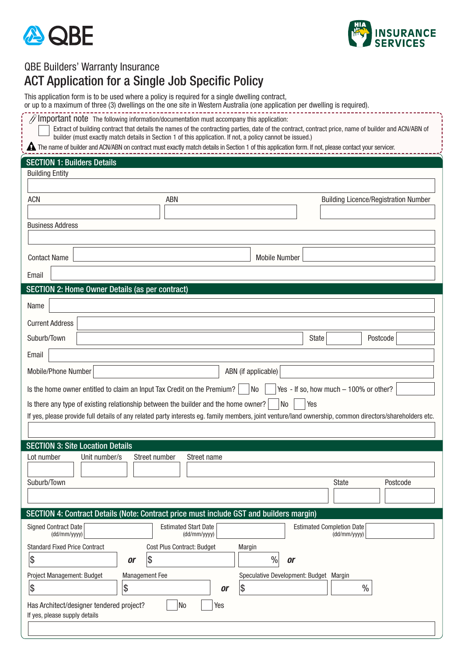



## QBE Builders' Warranty Insurance

## ACT Application for a Single Job Specific Policy

Has Architect/designer tendered project?  $\vert$  No  $\vert$  Yes

If yes, please supply details

Current Address Signed Contract Date **Estimated Start Date** Estimated Start Date **Estimated Completion Date**<br>
(dd/mm/yyyy) (dd/mm/yyyyy) (dd/mm/yyyyy) (dd/mm/yyyyy) (dd/mm/yyyyy (dd/mm/yyyy) (dd/mm/yyyy) (dd/mm/yyyy) SECTION 3: Site Location Details Lot number Unit number/s Street number Street name ACN ABN ABN ABN Building Licence/Registration Number Building Entity Email Suburb/Town Postcode Postcode Postcode Postcode Postcode Postcode Postcode Postcode Postcode Postcode Postcode SECTION 1: Builders Details Business Address SECTION 2: Home Owner Details (as per contract) Name Suburb/Town Postcode Postcode Postcode Postcode Postcode Postcode Postcode Postcode Postcode Postcode Postcode Email Is there any type of existing relationship between the builder and the home owner?  $\vert$  No  $\vert$  Yes If yes, please provide full details of any related party interests eg. family members, joint venture/land ownership, common directors/shareholders etc. SECTION 4: Contract Details (Note: Contract price must include GST and builders margin) Standard Fixed Price Contract Cost Plus Contract: Budget Margin \$ *or* \$ % *or* Project Management: Budget Management Fee Speculative Development: Budget Margin  $\$\texttt{s}\qquad \qquad \lvert \$\texttt{s}\qquad \qquad \qquad \texttt{or}\ \; \lvert \$\texttt{s}\qquad \qquad \qquad \texttt{or}\ \; \lvert \quad \qquad \texttt{\%}$ This application form is to be used where a policy is required for a single dwelling contract, or up to a maximum of three (3) dwellings on the one site in Western Australia (one application per dwelling is required). Mobile/Phone Number | Nobile/Phone Number | Nobile/Phone Number | Nobile/Phone Number | Nobile | ABN (if applicable) Is the home owner entitled to claim an Input Tax Credit on the Premium?  $\vert$  No  $\vert$  Yes - If so, how much – 100% or other? Contact Name Number 2012 12:00 12:00 12:00 12:00 12:00 12:00 12:00 12:00 12:00 12:00 12:00 12:00 12:00 12:00 12:00 12:00 12:00 12:00 12:00 12:00 12:00 12:00 12:00 12:00 12:00 12:00 12:00 12:00 12:00 12:00 12:00 12:00 12:00  $\mathcal N$  Important note The following information/documentation must accompany this application: Extract of building contract that details the names of the contracting parties, date of the contract, contract price, name of builder and ACN/ABN of builder (must exactly match details in Section 1 of this application. If not, a policy cannot be issued.) The name of builder and ACN/ABN on contract must exactly match details in Section 1 of this application form. If not, please contact your servicer.